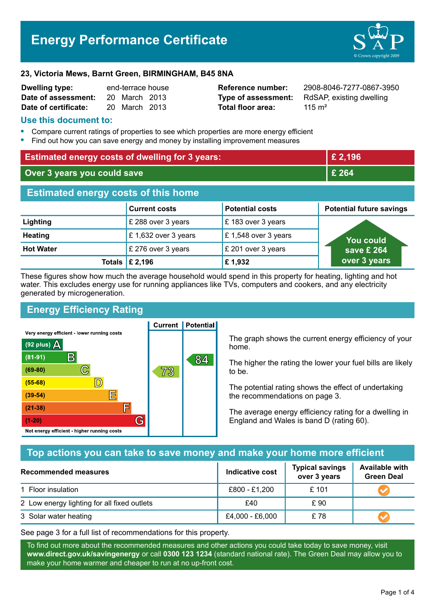# **Energy Performance Certificate**



#### **23, Victoria Mews, Barnt Green, BIRMINGHAM, B45 8NA**

| <b>Dwelling type:</b> | end-terrace house |               |  |
|-----------------------|-------------------|---------------|--|
| Date of assessment:   |                   | 20 March 2013 |  |
| Date of certificate:  |                   | 20 March 2013 |  |

**Total floor area:** 2015 m<sup>2</sup>

**Reference number:** 2908-8046-7277-0867-3950 **Type of assessment:** RdSAP, existing dwelling

## **Use this document to:**

- **•** Compare current ratings of properties to see which properties are more energy efficient
- **•** Find out how you can save energy and money by installing improvement measures

| <b>Estimated energy costs of dwelling for 3 years:</b> |                      | £ 2,196                |                                 |  |
|--------------------------------------------------------|----------------------|------------------------|---------------------------------|--|
| Over 3 years you could save                            |                      | £ 264                  |                                 |  |
| <b>Estimated energy costs of this home</b>             |                      |                        |                                 |  |
|                                                        | <b>Current costs</b> | <b>Potential costs</b> | <b>Potential future savings</b> |  |
| Lighting                                               | £ 288 over 3 years   | £183 over 3 years      |                                 |  |
| <b>Heating</b>                                         | £1,632 over 3 years  | £1,548 over 3 years    | <b>You could</b>                |  |
| <b>Hot Water</b>                                       | £ 276 over 3 years   | £ 201 over 3 years     | save $\overline{\epsilon}$ 264  |  |
| Totals                                                 | £ 2,196              | £1,932                 | over 3 years                    |  |

These figures show how much the average household would spend in this property for heating, lighting and hot water. This excludes energy use for running appliances like TVs, computers and cookers, and any electricity generated by microgeneration.

**Current | Potential** 

# **Energy Efficiency Rating**

Very energy efficient - lower running costs



The graph shows the current energy efficiency of your home.

The higher the rating the lower your fuel bills are likely to be.

The potential rating shows the effect of undertaking the recommendations on page 3.

The average energy efficiency rating for a dwelling in England and Wales is band D (rating 60).

# **Top actions you can take to save money and make your home more efficient**

| Recommended measures                        | Indicative cost | <b>Typical savings</b><br>over 3 years | <b>Available with</b><br><b>Green Deal</b> |
|---------------------------------------------|-----------------|----------------------------------------|--------------------------------------------|
| 1 Floor insulation                          | £800 - £1,200   | £101                                   |                                            |
| 2 Low energy lighting for all fixed outlets | £40             | £ 90                                   |                                            |
| 3 Solar water heating                       | £4,000 - £6,000 | £78                                    |                                            |

See page 3 for a full list of recommendations for this property.

To find out more about the recommended measures and other actions you could take today to save money, visit **www.direct.gov.uk/savingenergy** or call **0300 123 1234** (standard national rate). The Green Deal may allow you to make your home warmer and cheaper to run at no up-front cost.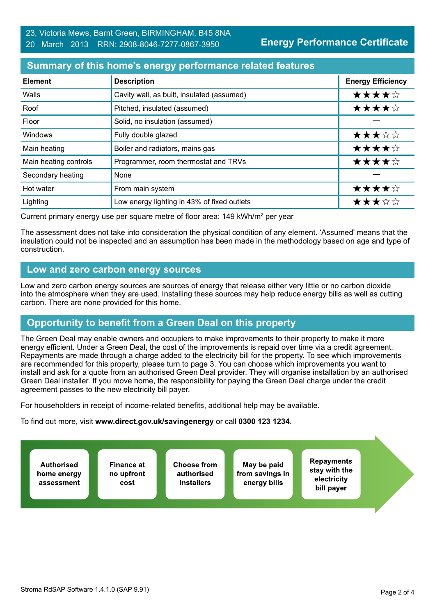**Energy Performance Certificate**

## **Summary of this home's energy performance related features**

| <b>Element</b>        | <b>Description</b>                          | <b>Energy Efficiency</b> |
|-----------------------|---------------------------------------------|--------------------------|
| Walls                 | Cavity wall, as built, insulated (assumed)  | ★★★★☆                    |
| Roof                  | Pitched, insulated (assumed)                | ★★★★☆                    |
| Floor                 | Solid, no insulation (assumed)              |                          |
| Windows               | Fully double glazed                         | ★★★☆☆                    |
| Main heating          | Boiler and radiators, mains gas             | ★★★★☆                    |
| Main heating controls | Programmer, room thermostat and TRVs        | ★★★★☆                    |
| Secondary heating     | None                                        |                          |
| Hot water             | From main system                            | ★★★★☆                    |
| Lighting              | Low energy lighting in 43% of fixed outlets | ★★★☆☆                    |

Current primary energy use per square metre of floor area: 149 kWh/m² per year

The assessment does not take into consideration the physical condition of any element. 'Assumed' means that the insulation could not be inspected and an assumption has been made in the methodology based on age and type of construction.

## **Low and zero carbon energy sources**

Low and zero carbon energy sources are sources of energy that release either very little or no carbon dioxide into the atmosphere when they are used. Installing these sources may help reduce energy bills as well as cutting carbon. There are none provided for this home.

# **Opportunity to benefit from a Green Deal on this property**

The Green Deal may enable owners and occupiers to make improvements to their property to make it more energy efficient. Under a Green Deal, the cost of the improvements is repaid over time via a credit agreement. Repayments are made through a charge added to the electricity bill for the property. To see which improvements are recommended for this property, please turn to page 3. You can choose which improvements you want to install and ask for a quote from an authorised Green Deal provider. They will organise installation by an authorised Green Deal installer. If you move home, the responsibility for paying the Green Deal charge under the credit agreement passes to the new electricity bill payer.

For householders in receipt of income-related benefits, additional help may be available.

To find out more, visit **www.direct.gov.uk/savingenergy** or call **0300 123 1234**.

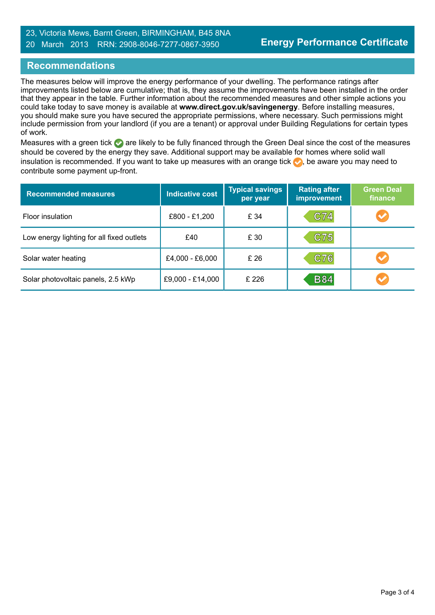### 23, Victoria Mews, Barnt Green, BIRMINGHAM, B45 8NA 20 March 2013 RRN: 2908-8046-7277-0867-3950

## **Recommendations**

The measures below will improve the energy performance of your dwelling. The performance ratings after improvements listed below are cumulative; that is, they assume the improvements have been installed in the order that they appear in the table. Further information about the recommended measures and other simple actions you could take today to save money is available at **www.direct.gov.uk/savingenergy**. Before installing measures, you should make sure you have secured the appropriate permissions, where necessary. Such permissions might include permission from your landlord (if you are a tenant) or approval under Building Regulations for certain types of work.

Measures with a green tick are likely to be fully financed through the Green Deal since the cost of the measures should be covered by the energy they save. Additional support may be available for homes where solid wall insulation is recommended. If you want to take up measures with an orange tick  $\blacklozenge$ , be aware you may need to contribute some payment up-front.

| <b>Recommended measures</b>               | <b>Indicative cost</b> | <b>Typical savings</b><br>per year | <b>Rating after</b><br><b>improvement</b> | <b>Green Deal</b><br>finance |
|-------------------------------------------|------------------------|------------------------------------|-------------------------------------------|------------------------------|
| Floor insulation                          | £800 - £1,200          | £ 34                               | C74                                       |                              |
| Low energy lighting for all fixed outlets | £40                    | £ 30                               | C75                                       |                              |
| Solar water heating                       | £4,000 - £6,000        | £ 26                               | C76                                       |                              |
| Solar photovoltaic panels, 2.5 kWp        | £9,000 - £14,000       | £226                               | <b>B84</b>                                |                              |